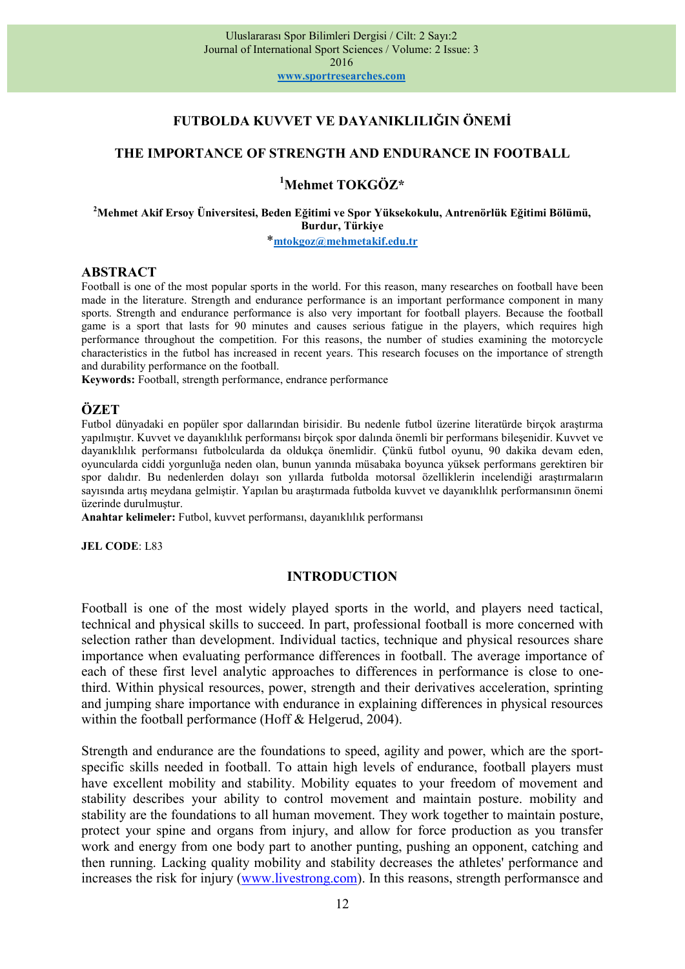# FUTBOLDA KUVVET VE DAYANIKLILIĞIN ÖNEMİ

### THE IMPORTANCE OF STRENGTH AND ENDURANCE IN FOOTBALL

# <sup>1</sup>Mehmet TOKGÖZ\*

#### <sup>2</sup>Mehmet Akif Ersoy Üniversitesi, Beden Eğitimi ve Spor Yüksekokulu, Antrenörlük Eğitimi Bölümü, Burdur, Türkiye

\*mtokgoz@mehmetakif.edu.tr

#### ABSTRACT

Football is one of the most popular sports in the world. For this reason, many researches on football have been made in the literature. Strength and endurance performance is an important performance component in many sports. Strength and endurance performance is also very important for football players. Because the football game is a sport that lasts for 90 minutes and causes serious fatigue in the players, which requires high performance throughout the competition. For this reasons, the number of studies examining the motorcycle characteristics in the futbol has increased in recent years. This research focuses on the importance of strength and durability performance on the football.

Keywords: Football, strength performance, endrance performance

### **ÖZET**

Futbol dünyadaki en popüler spor dallarından birisidir. Bu nedenle futbol üzerine literatürde birçok araştırma yapılmıştır. Kuvvet ve dayanıklılık performansı birçok spor dalında önemli bir performans bileşenidir. Kuvvet ve dayanıklılık performansı futbolcularda da oldukça önemlidir. Çünkü futbol oyunu, 90 dakika devam eden, oyuncularda ciddi yorgunluğa neden olan, bunun yanında müsabaka boyunca yüksek performans gerektiren bir spor dalıdır. Bu nedenlerden dolayı son yıllarda futbolda motorsal özelliklerin incelendiği araştırmaların sayısında artış meydana gelmiştir. Yapılan bu araştırmada futbolda kuvvet ve dayanıklılık performansının önemi üzerinde durulmuştur.

Anahtar kelimeler: Futbol, kuvvet performansı, dayanıklılık performansı

JEL CODE: L83

#### INTRODUCTION

Football is one of the most widely played sports in the world, and players need tactical, technical and physical skills to succeed. In part, professional football is more concerned with selection rather than development. Individual tactics, technique and physical resources share importance when evaluating performance differences in football. The average importance of each of these first level analytic approaches to differences in performance is close to onethird. Within physical resources, power, strength and their derivatives acceleration, sprinting and jumping share importance with endurance in explaining differences in physical resources within the football performance (Hoff & Helgerud, 2004).

Strength and endurance are the foundations to speed, agility and power, which are the sportspecific skills needed in football. To attain high levels of endurance, football players must have excellent mobility and stability. Mobility equates to your freedom of movement and stability describes your ability to control movement and maintain posture. mobility and stability are the foundations to all human movement. They work together to maintain posture, protect your spine and organs from injury, and allow for force production as you transfer work and energy from one body part to another punting, pushing an opponent, catching and then running. Lacking quality mobility and stability decreases the athletes' performance and increases the risk for injury (www.livestrong.com). In this reasons, strength performansce and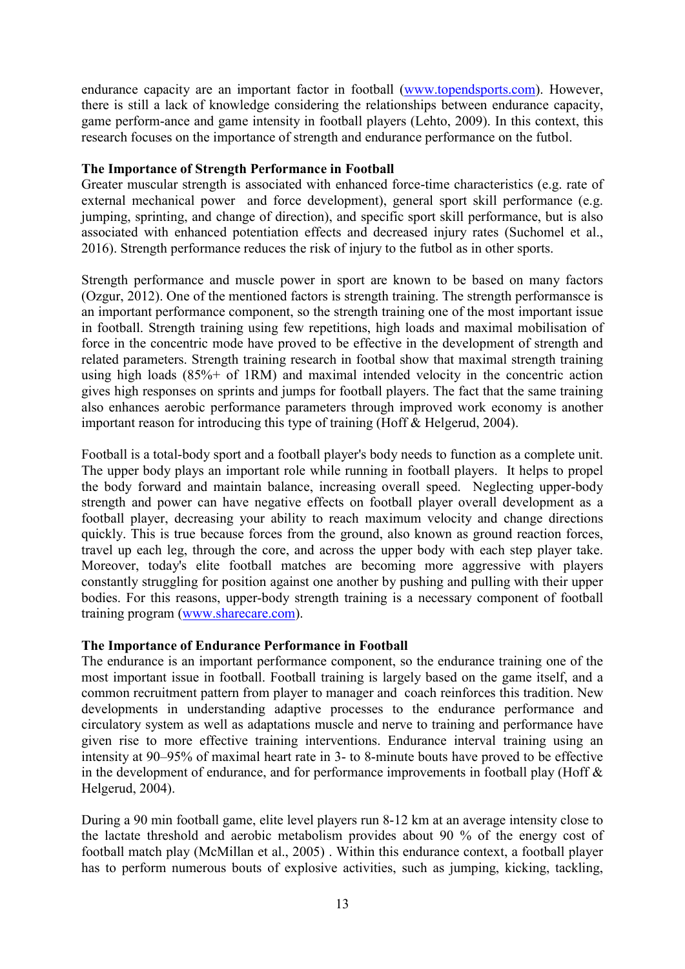endurance capacity are an important factor in football (www.topendsports.com). However, there is still a lack of knowledge considering the relationships between endurance capacity, game perform-ance and game intensity in football players (Lehto, 2009). In this context, this research focuses on the importance of strength and endurance performance on the futbol.

## The Importance of Strength Performance in Football

Greater muscular strength is associated with enhanced force-time characteristics (e.g. rate of external mechanical power and force development), general sport skill performance (e.g. jumping, sprinting, and change of direction), and specific sport skill performance, but is also associated with enhanced potentiation effects and decreased injury rates (Suchomel et al., 2016). Strength performance reduces the risk of injury to the futbol as in other sports.

Strength performance and muscle power in sport are known to be based on many factors (Ozgur, 2012). One of the mentioned factors is strength training. The strength performansce is an important performance component, so the strength training one of the most important issue in football. Strength training using few repetitions, high loads and maximal mobilisation of force in the concentric mode have proved to be effective in the development of strength and related parameters. Strength training research in footbal show that maximal strength training using high loads (85%+ of 1RM) and maximal intended velocity in the concentric action gives high responses on sprints and jumps for football players. The fact that the same training also enhances aerobic performance parameters through improved work economy is another important reason for introducing this type of training (Hoff & Helgerud, 2004).

Football is a total-body sport and a football player's body needs to function as a complete unit. The upper body plays an important role while running in football players. It helps to propel the body forward and maintain balance, increasing overall speed. Neglecting upper-body strength and power can have negative effects on football player overall development as a football player, decreasing your ability to reach maximum velocity and change directions quickly. This is true because forces from the ground, also known as ground reaction forces, travel up each leg, through the core, and across the upper body with each step player take. Moreover, today's elite football matches are becoming more aggressive with players constantly struggling for position against one another by pushing and pulling with their upper bodies. For this reasons, upper-body strength training is a necessary component of football training program (www.sharecare.com).

# The Importance of Endurance Performance in Football

The endurance is an important performance component, so the endurance training one of the most important issue in football. Football training is largely based on the game itself, and a common recruitment pattern from player to manager and coach reinforces this tradition. New developments in understanding adaptive processes to the endurance performance and circulatory system as well as adaptations muscle and nerve to training and performance have given rise to more effective training interventions. Endurance interval training using an intensity at 90–95% of maximal heart rate in 3- to 8-minute bouts have proved to be effective in the development of endurance, and for performance improvements in football play (Hoff & Helgerud, 2004).

During a 90 min football game, elite level players run 8-12 km at an average intensity close to the lactate threshold and aerobic metabolism provides about 90 % of the energy cost of football match play (McMillan et al., 2005) . Within this endurance context, a football player has to perform numerous bouts of explosive activities, such as jumping, kicking, tackling,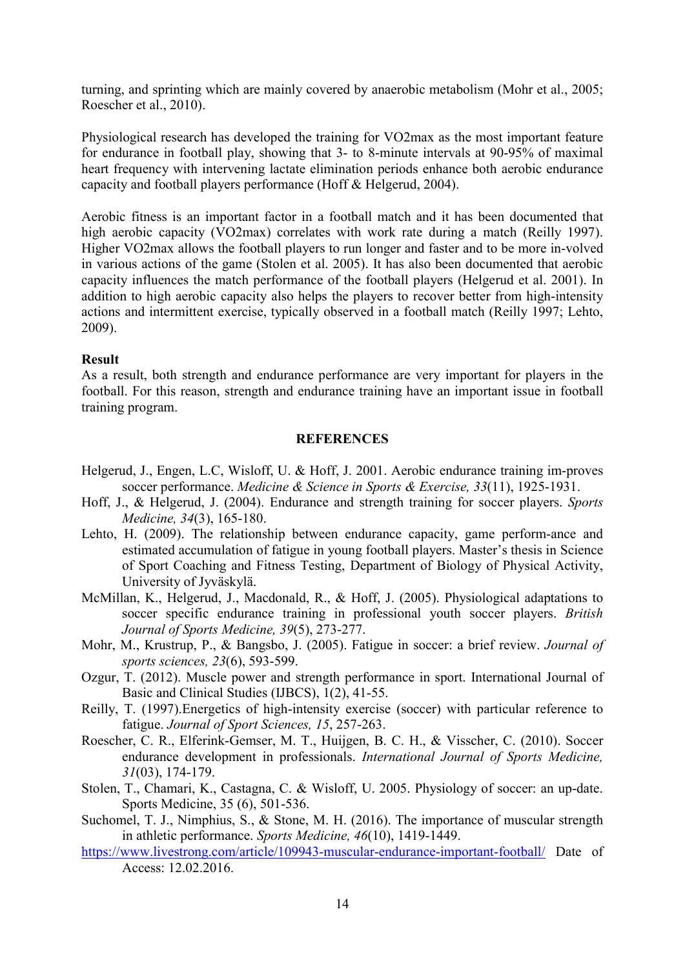turning, and sprinting which are mainly covered by anaerobic metabolism (Mohr et al., 2005; Roescher et al., 2010).

Physiological research has developed the training for VO2max as the most important feature for endurance in football play, showing that 3- to 8-minute intervals at 90-95% of maximal heart frequency with intervening lactate elimination periods enhance both aerobic endurance capacity and football players performance (Hoff & Helgerud, 2004).

Aerobic fitness is an important factor in a football match and it has been documented that high aerobic capacity (VO2max) correlates with work rate during a match (Reilly 1997). Higher VO2max allows the football players to run longer and faster and to be more in-volved in various actions of the game (Stolen et al. 2005). It has also been documented that aerobic capacity influences the match performance of the football players (Helgerud et al. 2001). In addition to high aerobic capacity also helps the players to recover better from high-intensity actions and intermittent exercise, typically observed in a football match (Reilly 1997; Lehto, 2009).

# Result

As a result, both strength and endurance performance are very important for players in the football. For this reason, strength and endurance training have an important issue in football training program.

### **REFERENCES**

- Helgerud, J., Engen, L.C, Wisloff, U. & Hoff, J. 2001. Aerobic endurance training im-proves soccer performance. Medicine & Science in Sports & Exercise, 33(11), 1925-1931.
- Hoff, J., & Helgerud, J. (2004). Endurance and strength training for soccer players. Sports Medicine, 34(3), 165-180.
- Lehto, H. (2009). The relationship between endurance capacity, game perform-ance and estimated accumulation of fatigue in young football players. Master's thesis in Science of Sport Coaching and Fitness Testing, Department of Biology of Physical Activity, University of Jyväskylä.
- McMillan, K., Helgerud, J., Macdonald, R., & Hoff, J. (2005). Physiological adaptations to soccer specific endurance training in professional youth soccer players. British Journal of Sports Medicine, 39(5), 273-277.
- Mohr, M., Krustrup, P., & Bangsbo, J. (2005). Fatigue in soccer: a brief review. Journal of sports sciences, 23(6), 593-599.
- Ozgur, T. (2012). Muscle power and strength performance in sport. International Journal of Basic and Clinical Studies (IJBCS), 1(2), 41-55.
- Reilly, T. (1997).Energetics of high-intensity exercise (soccer) with particular reference to fatigue. Journal of Sport Sciences, 15, 257-263.
- Roescher, C. R., Elferink-Gemser, M. T., Huijgen, B. C. H., & Visscher, C. (2010). Soccer endurance development in professionals. International Journal of Sports Medicine, 31(03), 174-179.
- Stolen, T., Chamari, K., Castagna, C. & Wisloff, U. 2005. Physiology of soccer: an up-date. Sports Medicine, 35 (6), 501-536.
- Suchomel, T. J., Nimphius, S., & Stone, M. H. (2016). The importance of muscular strength in athletic performance. Sports Medicine, 46(10), 1419-1449.
- https://www.livestrong.com/article/109943-muscular-endurance-important-football/ Date of Access: 12.02.2016.